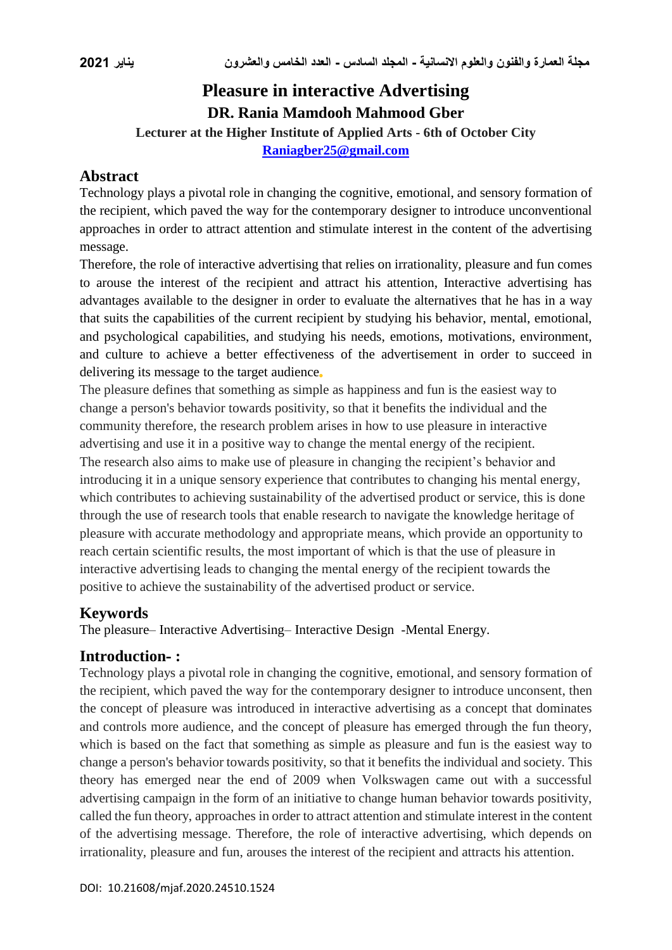# **Pleasure in interactive Advertising DR. Rania Mamdooh Mahmood Gber**

**Lecturer at the Higher Institute of Applied Arts - 6th of October City**

**[Raniagber25@gmail.com](mailto:Raniagber25@gmail.com)**

## **Abstract**

Technology plays a pivotal role in changing the cognitive, emotional, and sensory formation of the recipient, which paved the way for the contemporary designer to introduce unconventional approaches in order to attract attention and stimulate interest in the content of the advertising message.

Therefore, the role of interactive advertising that relies on irrationality, pleasure and fun comes to arouse the interest of the recipient and attract his attention, Interactive advertising has advantages available to the designer in order to evaluate the alternatives that he has in a way that suits the capabilities of the current recipient by studying his behavior, mental, emotional, and psychological capabilities, and studying his needs, emotions, motivations, environment, and culture to achieve a better effectiveness of the advertisement in order to succeed in delivering its message to the target audience

The pleasure defines that something as simple as happiness and fun is the easiest way to change a person's behavior towards positivity, so that it benefits the individual and the community therefore, the research problem arises in how to use pleasure in interactive advertising and use it in a positive way to change the mental energy of the recipient. The research also aims to make use of pleasure in changing the recipient's behavior and introducing it in a unique sensory experience that contributes to changing his mental energy, which contributes to achieving sustainability of the advertised product or service, this is done through the use of research tools that enable research to navigate the knowledge heritage of pleasure with accurate methodology and appropriate means, which provide an opportunity to reach certain scientific results, the most important of which is that the use of pleasure in interactive advertising leads to changing the mental energy of the recipient towards the positive to achieve the sustainability of the advertised product or service.

## **Keywords**

The pleasure– Interactive Advertising– Interactive Design -Mental Energy.

### **Introduction- :**

Technology plays a pivotal role in changing the cognitive, emotional, and sensory formation of the recipient, which paved the way for the contemporary designer to introduce unconsent, then the concept of pleasure was introduced in interactive advertising as a concept that dominates and controls more audience, and the concept of pleasure has emerged through the fun theory, which is based on the fact that something as simple as pleasure and fun is the easiest way to change a person's behavior towards positivity, so that it benefits the individual and society. This theory has emerged near the end of 2009 when Volkswagen came out with a successful advertising campaign in the form of an initiative to change human behavior towards positivity, called the fun theory, approaches in order to attract attention and stimulate interest in the content of the advertising message. Therefore, the role of interactive advertising, which depends on irrationality, pleasure and fun, arouses the interest of the recipient and attracts his attention.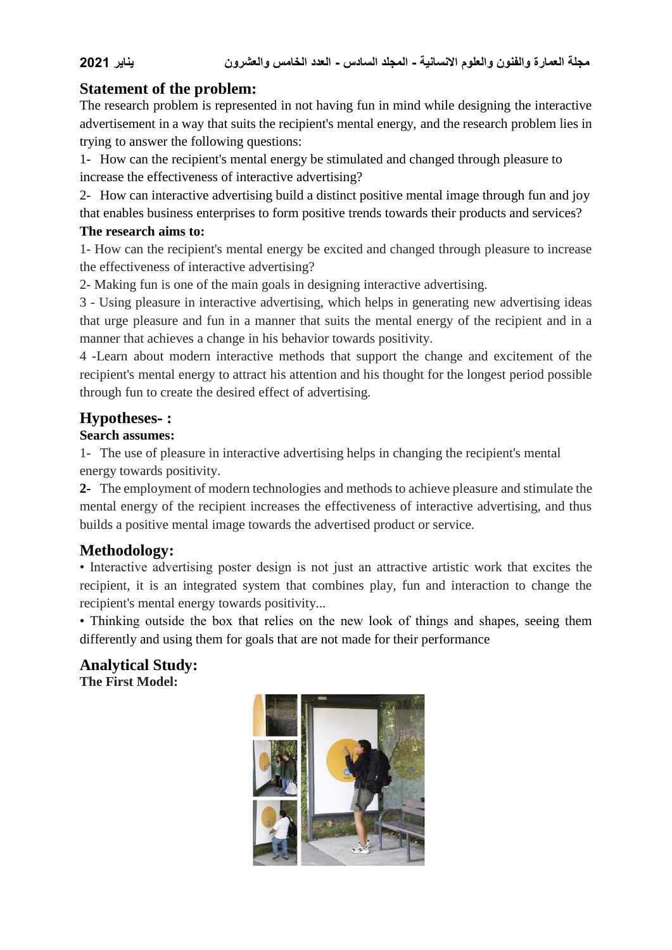## **Statement of the problem:**

The research problem is represented in not having fun in mind while designing the interactive advertisement in a way that suits the recipient's mental energy, and the research problem lies in trying to answer the following questions:

1- How can the recipient's mental energy be stimulated and changed through pleasure to increase the effectiveness of interactive advertising?

2- How can interactive advertising build a distinct positive mental image through fun and joy that enables business enterprises to form positive trends towards their products and services?

#### **The research aims to:**

1- How can the recipient's mental energy be excited and changed through pleasure to increase the effectiveness of interactive advertising?

2- Making fun is one of the main goals in designing interactive advertising.

3 - Using pleasure in interactive advertising, which helps in generating new advertising ideas that urge pleasure and fun in a manner that suits the mental energy of the recipient and in a manner that achieves a change in his behavior towards positivity.

4 -Learn about modern interactive methods that support the change and excitement of the recipient's mental energy to attract his attention and his thought for the longest period possible through fun to create the desired effect of advertising.

## **Hypotheses- :**

### **Search assumes:**

1- The use of pleasure in interactive advertising helps in changing the recipient's mental energy towards positivity.

**2-** The employment of modern technologies and methods to achieve pleasure and stimulate the mental energy of the recipient increases the effectiveness of interactive advertising, and thus builds a positive mental image towards the advertised product or service.

## **Methodology:**

• Interactive advertising poster design is not just an attractive artistic work that excites the recipient, it is an integrated system that combines play, fun and interaction to change the recipient's mental energy towards positivity...

• Thinking outside the box that relies on the new look of things and shapes, seeing them differently and using them for goals that are not made for their performance

**Analytical Study: The First Model:**

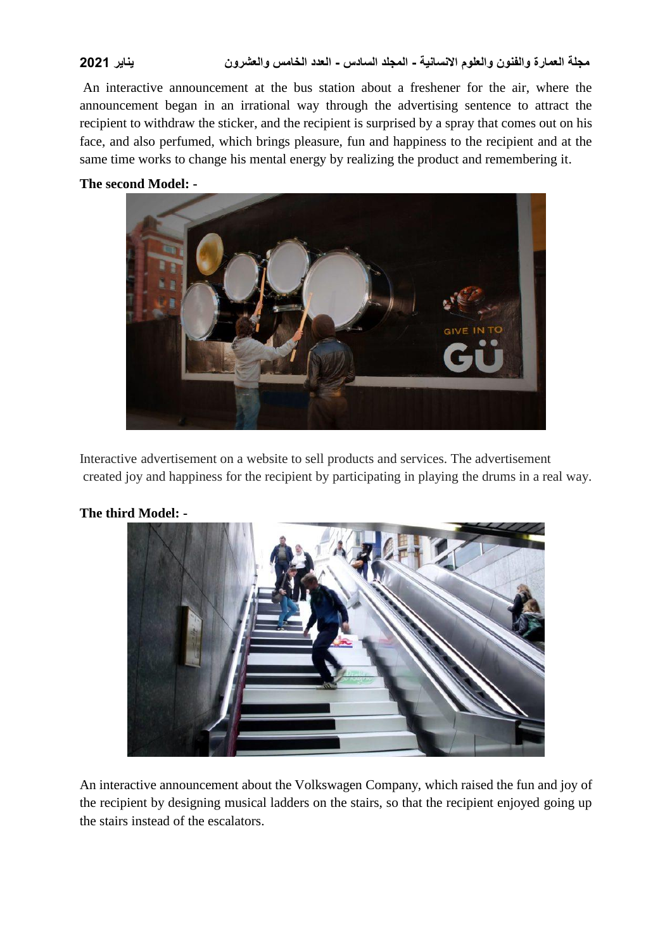An interactive announcement at the bus station about a freshener for the air, where the announcement began in an irrational way through the advertising sentence to attract the recipient to withdraw the sticker, and the recipient is surprised by a spray that comes out on his face, and also perfumed, which brings pleasure, fun and happiness to the recipient and at the same time works to change his mental energy by realizing the product and remembering it.

#### **The second Model: -**



Interactive advertisement on a website to sell products and services. The advertisement created joy and happiness for the recipient by participating in playing the drums in a real way.



### **The third Model: -**

An interactive announcement about the Volkswagen Company, which raised the fun and joy of the recipient by designing musical ladders on the stairs, so that the recipient enjoyed going up the stairs instead of the escalators.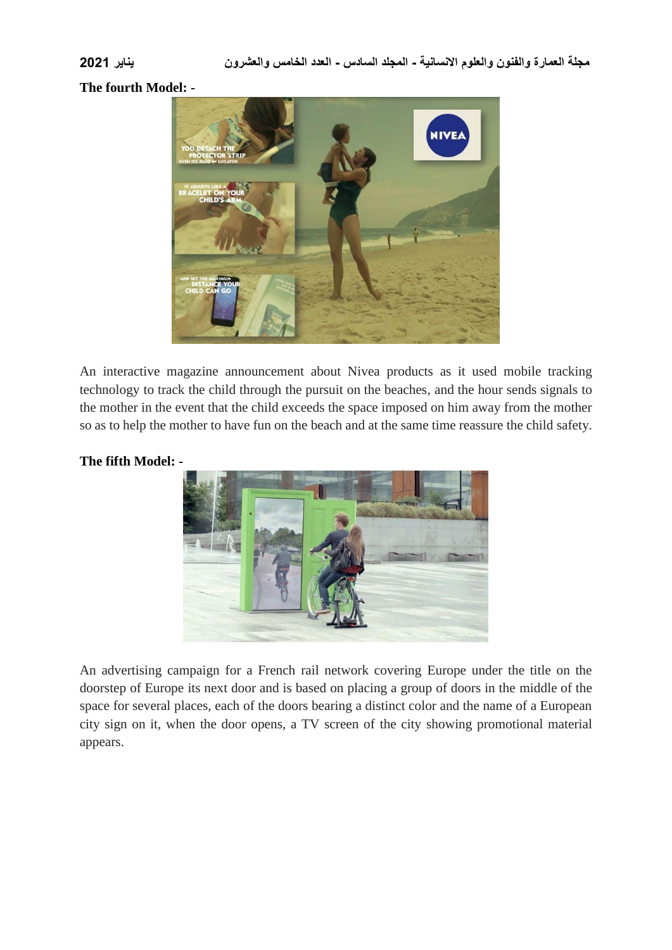**The fourth Model: -**



An interactive magazine announcement about Nivea products as it used mobile tracking technology to track the child through the pursuit on the beaches, and the hour sends signals to the mother in the event that the child exceeds the space imposed on him away from the mother so as to help the mother to have fun on the beach and at the same time reassure the child safety.

### **The fifth Model: -**



An advertising campaign for a French rail network covering Europe under the title on the doorstep of Europe its next door and is based on placing a group of doors in the middle of the space for several places, each of the doors bearing a distinct color and the name of a European city sign on it, when the door opens, a TV screen of the city showing promotional material appears.